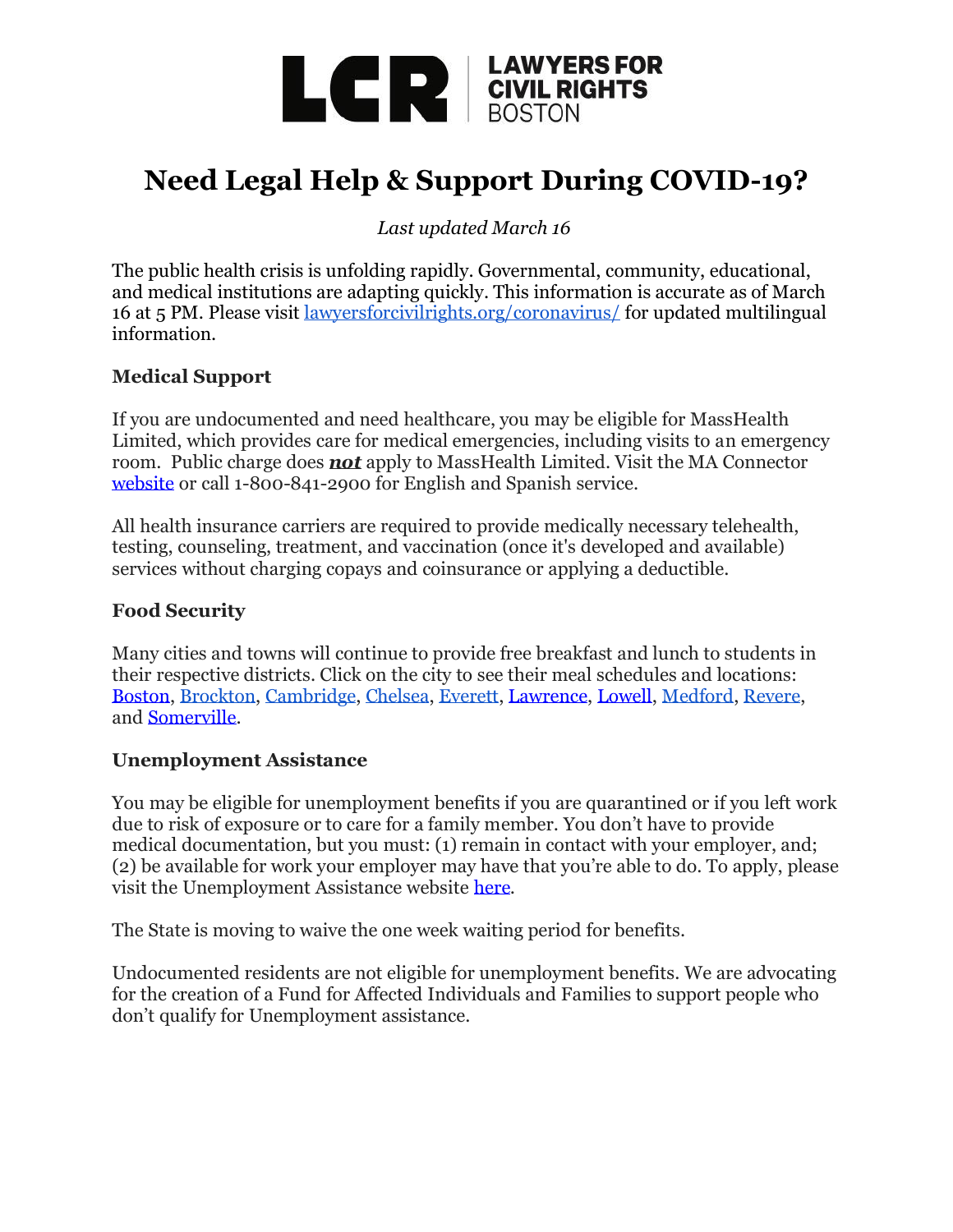

# **Need Legal Help & Support During COVID-19?**

*Last updated March 16*

The public health crisis is unfolding rapidly. Governmental, community, educational, and medical institutions are adapting quickly. This information is accurate as of March 16 at 5 PM. Please visit [lawyersforcivilrights.org/coronavirus/](http://lawyersforcivilrights.org/coronavirus/) for updated multilingual information.

# **Medical Support**

If you are undocumented and need healthcare, you may be eligible for MassHealth Limited, which provides care for medical emergencies, including visits to an emergency room. Public charge does *not* apply to MassHealth Limited. Visit the MA Connector [website](https://mahealthconnector.optum.com/individual/) or call 1-800-841-2900 for English and Spanish service.

All health insurance carriers are required to provide medically necessary telehealth, testing, counseling, treatment, and vaccination (once it's developed and available) services without charging copays and coinsurance or applying a deductible.

# **Food Security**

Many cities and towns will continue to provide free breakfast and lunch to students in their respective districts. Click on the city to see their meal schedules and locations: [Boston,](https://www.boston.gov/departments/food-access/map-meal-sites-boston) [Brockton,](https://www.bpsma.org/schools/health-services/food-program-march-16-27) [Cambridge,](https://www.cpsd.us/cms/One.aspx?portalId=3042869&pageId=69483708) [Chelsea,](https://www.chelseaschools.com/cms/lib/MA50000536/Centricity/domain/1339/central%20office/CPSEmergencyfoodprogramREVISED.pdf) [Everett,](https://www.everettpublicschools.org/apps/pages/index.jsp?uREC_ID=1618393&type=d&pREC_ID=1847772) [Lawrence,](https://www.lawrence.k12.ma.us/index.php/lps-district-events/1791-important-health-information) [Lowell,](https://www.lowell.k12.ma.us/cms/lib/MA01907636/Centricity/Domain/2728/Grab%20And%20Go%20Flyer%20v2.pdf) [Medford,](http://www.medfordma.org/coronavirus-information/) [Revere,](http://www.reverek12.org/userfiles/3/my%20files/covid%206e2.pdf?id=6747) and [Somerville.](https://somerville.k12.ma.us/coronavirus-information-prevention)

# **Unemployment Assistance**

You may be eligible for unemployment benefits if you are quarantined or if you left work due to risk of exposure or to care for a family member. You don't have to provide medical documentation, but you must: (1) remain in contact with your employer, and; (2) be available for work your employer may have that you're able to do. To apply, please visit the Unemployment Assistance website [here.](https://uionline.detma.org/Claimant/Core/Login.ASPX)

The State is moving to waive the one week waiting period for benefits.

Undocumented residents are not eligible for unemployment benefits. We are advocating for the creation of a Fund for Affected Individuals and Families to support people who don't qualify for Unemployment assistance.